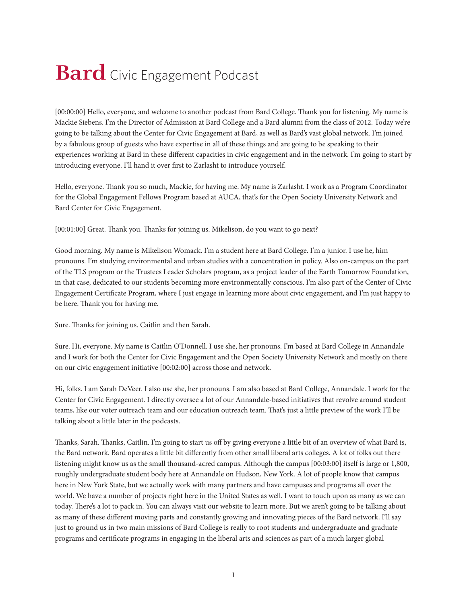## **Bard** Civic Engagement Podcast

[00:00:00] Hello, everyone, and welcome to another podcast from Bard College. Thank you for listening. My name is Mackie Siebens. I'm the Director of Admission at Bard College and a Bard alumni from the class of 2012. Today we're going to be talking about the Center for Civic Engagement at Bard, as well as Bard's vast global network. I'm joined by a fabulous group of guests who have expertise in all of these things and are going to be speaking to their experiences working at Bard in these different capacities in civic engagement and in the network. I'm going to start by introducing everyone. I'll hand it over first to Zarlasht to introduce yourself.

Hello, everyone. Thank you so much, Mackie, for having me. My name is Zarlasht. I work as a Program Coordinator for the Global Engagement Fellows Program based at AUCA, that's for the Open Society University Network and Bard Center for Civic Engagement.

[00:01:00] Great. Thank you. Thanks for joining us. Mikelison, do you want to go next?

Good morning. My name is Mikelison Womack. I'm a student here at Bard College. I'm a junior. I use he, him pronouns. I'm studying environmental and urban studies with a concentration in policy. Also on-campus on the part of the TLS program or the Trustees Leader Scholars program, as a project leader of the Earth Tomorrow Foundation, in that case, dedicated to our students becoming more environmentally conscious. I'm also part of the Center of Civic Engagement Certificate Program, where I just engage in learning more about civic engagement, and I'm just happy to be here. Thank you for having me.

Sure. Thanks for joining us. Caitlin and then Sarah.

Sure. Hi, everyone. My name is Caitlin O'Donnell. I use she, her pronouns. I'm based at Bard College in Annandale and I work for both the Center for Civic Engagement and the Open Society University Network and mostly on there on our civic engagement initiative [00:02:00] across those and network.

Hi, folks. I am Sarah DeVeer. I also use she, her pronouns. I am also based at Bard College, Annandale. I work for the Center for Civic Engagement. I directly oversee a lot of our Annandale-based initiatives that revolve around student teams, like our voter outreach team and our education outreach team. That's just a little preview of the work I'll be talking about a little later in the podcasts.

Thanks, Sarah. Thanks, Caitlin. I'm going to start us off by giving everyone a little bit of an overview of what Bard is, the Bard network. Bard operates a little bit differently from other small liberal arts colleges. A lot of folks out there listening might know us as the small thousand-acred campus. Although the campus [00:03:00] itself is large or 1,800, roughly undergraduate student body here at Annandale on Hudson, New York. A lot of people know that campus here in New York State, but we actually work with many partners and have campuses and programs all over the world. We have a number of projects right here in the United States as well. I want to touch upon as many as we can today. There's a lot to pack in. You can always visit our website to learn more. But we aren't going to be talking about as many of these different moving parts and constantly growing and innovating pieces of the Bard network. I'll say just to ground us in two main missions of Bard College is really to root students and undergraduate and graduate programs and certificate programs in engaging in the liberal arts and sciences as part of a much larger global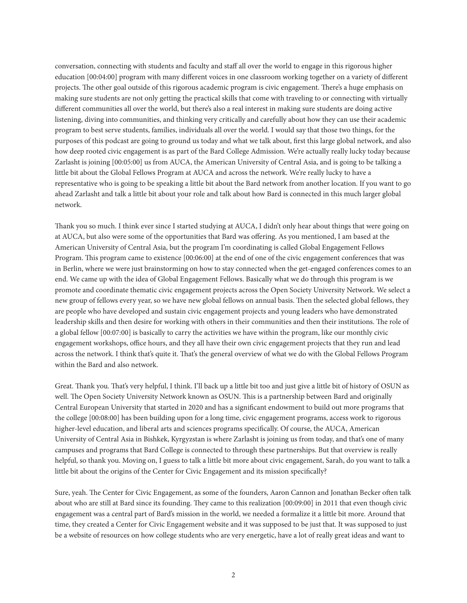conversation, connecting with students and faculty and staff all over the world to engage in this rigorous higher education [00:04:00] program with many different voices in one classroom working together on a variety of different projects. The other goal outside of this rigorous academic program is civic engagement. There's a huge emphasis on making sure students are not only getting the practical skills that come with traveling to or connecting with virtually different communities all over the world, but there's also a real interest in making sure students are doing active listening, diving into communities, and thinking very critically and carefully about how they can use their academic program to best serve students, families, individuals all over the world. I would say that those two things, for the purposes of this podcast are going to ground us today and what we talk about, first this large global network, and also how deep rooted civic engagement is as part of the Bard College Admission. We're actually really lucky today because Zarlasht is joining [00:05:00] us from AUCA, the American University of Central Asia, and is going to be talking a little bit about the Global Fellows Program at AUCA and across the network. We're really lucky to have a representative who is going to be speaking a little bit about the Bard network from another location. If you want to go ahead Zarlasht and talk a little bit about your role and talk about how Bard is connected in this much larger global network.

Thank you so much. I think ever since I started studying at AUCA, I didn't only hear about things that were going on at AUCA, but also were some of the opportunities that Bard was offering. As you mentioned, I am based at the American University of Central Asia, but the program I'm coordinating is called Global Engagement Fellows Program. This program came to existence [00:06:00] at the end of one of the civic engagement conferences that was in Berlin, where we were just brainstorming on how to stay connected when the get-engaged conferences comes to an end. We came up with the idea of Global Engagement Fellows. Basically what we do through this program is we promote and coordinate thematic civic engagement projects across the Open Society University Network. We select a new group of fellows every year, so we have new global fellows on annual basis. Then the selected global fellows, they are people who have developed and sustain civic engagement projects and young leaders who have demonstrated leadership skills and then desire for working with others in their communities and then their institutions. The role of a global fellow [00:07:00] is basically to carry the activities we have within the program, like our monthly civic engagement workshops, office hours, and they all have their own civic engagement projects that they run and lead across the network. I think that's quite it. That's the general overview of what we do with the Global Fellows Program within the Bard and also network.

Great. Thank you. That's very helpful, I think. I'll back up a little bit too and just give a little bit of history of OSUN as well. The Open Society University Network known as OSUN. This is a partnership between Bard and originally Central European University that started in 2020 and has a significant endowment to build out more programs that the college [00:08:00] has been building upon for a long time, civic engagement programs, access work to rigorous higher-level education, and liberal arts and sciences programs specifically. Of course, the AUCA, American University of Central Asia in Bishkek, Kyrgyzstan is where Zarlasht is joining us from today, and that's one of many campuses and programs that Bard College is connected to through these partnerships. But that overview is really helpful, so thank you. Moving on, I guess to talk a little bit more about civic engagement, Sarah, do you want to talk a little bit about the origins of the Center for Civic Engagement and its mission specifically?

Sure, yeah. The Center for Civic Engagement, as some of the founders, Aaron Cannon and Jonathan Becker often talk about who are still at Bard since its founding. They came to this realization [00:09:00] in 2011 that even though civic engagement was a central part of Bard's mission in the world, we needed a formalize it a little bit more. Around that time, they created a Center for Civic Engagement website and it was supposed to be just that. It was supposed to just be a website of resources on how college students who are very energetic, have a lot of really great ideas and want to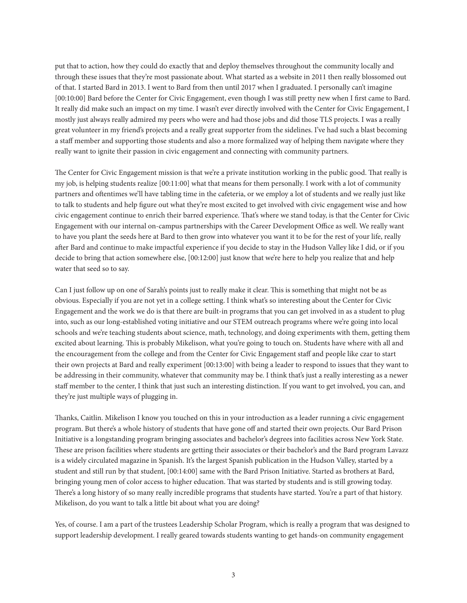put that to action, how they could do exactly that and deploy themselves throughout the community locally and through these issues that they're most passionate about. What started as a website in 2011 then really blossomed out of that. I started Bard in 2013. I went to Bard from then until 2017 when I graduated. I personally can't imagine [00:10:00] Bard before the Center for Civic Engagement, even though I was still pretty new when I first came to Bard. It really did make such an impact on my time. I wasn't ever directly involved with the Center for Civic Engagement, I mostly just always really admired my peers who were and had those jobs and did those TLS projects. I was a really great volunteer in my friend's projects and a really great supporter from the sidelines. I've had such a blast becoming a staff member and supporting those students and also a more formalized way of helping them navigate where they really want to ignite their passion in civic engagement and connecting with community partners.

The Center for Civic Engagement mission is that we're a private institution working in the public good. That really is my job, is helping students realize [00:11:00] what that means for them personally. I work with a lot of community partners and oftentimes we'll have tabling time in the cafeteria, or we employ a lot of students and we really just like to talk to students and help figure out what they're most excited to get involved with civic engagement wise and how civic engagement continue to enrich their barred experience. That's where we stand today, is that the Center for Civic Engagement with our internal on-campus partnerships with the Career Development Office as well. We really want to have you plant the seeds here at Bard to then grow into whatever you want it to be for the rest of your life, really after Bard and continue to make impactful experience if you decide to stay in the Hudson Valley like I did, or if you decide to bring that action somewhere else, [00:12:00] just know that we're here to help you realize that and help water that seed so to say.

Can I just follow up on one of Sarah's points just to really make it clear. This is something that might not be as obvious. Especially if you are not yet in a college setting. I think what's so interesting about the Center for Civic Engagement and the work we do is that there are built-in programs that you can get involved in as a student to plug into, such as our long-established voting initiative and our STEM outreach programs where we're going into local schools and we're teaching students about science, math, technology, and doing experiments with them, getting them excited about learning. This is probably Mikelison, what you're going to touch on. Students have where with all and the encouragement from the college and from the Center for Civic Engagement staff and people like czar to start their own projects at Bard and really experiment [00:13:00] with being a leader to respond to issues that they want to be addressing in their community, whatever that community may be. I think that's just a really interesting as a newer staff member to the center, I think that just such an interesting distinction. If you want to get involved, you can, and they're just multiple ways of plugging in.

Thanks, Caitlin. Mikelison I know you touched on this in your introduction as a leader running a civic engagement program. But there's a whole history of students that have gone off and started their own projects. Our Bard Prison Initiative is a longstanding program bringing associates and bachelor's degrees into facilities across New York State. These are prison facilities where students are getting their associates or their bachelor's and the Bard program Lavazz is a widely circulated magazine in Spanish. It's the largest Spanish publication in the Hudson Valley, started by a student and still run by that student, [00:14:00] same with the Bard Prison Initiative. Started as brothers at Bard, bringing young men of color access to higher education. That was started by students and is still growing today. There's a long history of so many really incredible programs that students have started. You're a part of that history. Mikelison, do you want to talk a little bit about what you are doing?

Yes, of course. I am a part of the trustees Leadership Scholar Program, which is really a program that was designed to support leadership development. I really geared towards students wanting to get hands-on community engagement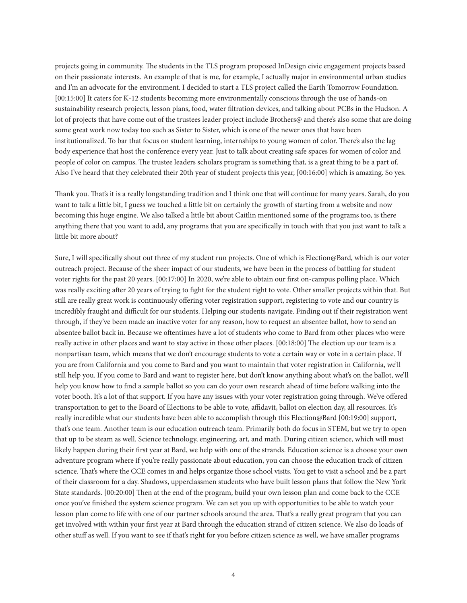projects going in community. The students in the TLS program proposed InDesign civic engagement projects based on their passionate interests. An example of that is me, for example, I actually major in environmental urban studies and I'm an advocate for the environment. I decided to start a TLS project called the Earth Tomorrow Foundation. [00:15:00] It caters for K-12 students becoming more environmentally conscious through the use of hands-on sustainability research projects, lesson plans, food, water filtration devices, and talking about PCBs in the Hudson. A lot of projects that have come out of the trustees leader project include Brothers@ and there's also some that are doing some great work now today too such as Sister to Sister, which is one of the newer ones that have been institutionalized. To bar that focus on student learning, internships to young women of color. There's also the lag body experience that host the conference every year. Just to talk about creating safe spaces for women of color and people of color on campus. The trustee leaders scholars program is something that, is a great thing to be a part of. Also I've heard that they celebrated their 20th year of student projects this year, [00:16:00] which is amazing. So yes.

Thank you. That's it is a really longstanding tradition and I think one that will continue for many years. Sarah, do you want to talk a little bit, I guess we touched a little bit on certainly the growth of starting from a website and now becoming this huge engine. We also talked a little bit about Caitlin mentioned some of the programs too, is there anything there that you want to add, any programs that you are specifically in touch with that you just want to talk a little bit more about?

Sure, I will specifically shout out three of my student run projects. One of which is Election@Bard, which is our voter outreach project. Because of the sheer impact of our students, we have been in the process of battling for student voter rights for the past 20 years. [00:17:00] In 2020, we're able to obtain our first on-campus polling place. Which was really exciting after 20 years of trying to fight for the student right to vote. Other smaller projects within that. But still are really great work is continuously offering voter registration support, registering to vote and our country is incredibly fraught and difficult for our students. Helping our students navigate. Finding out if their registration went through, if they've been made an inactive voter for any reason, how to request an absentee ballot, how to send an absentee ballot back in. Because we oftentimes have a lot of students who come to Bard from other places who were really active in other places and want to stay active in those other places. [00:18:00] The election up our team is a nonpartisan team, which means that we don't encourage students to vote a certain way or vote in a certain place. If you are from California and you come to Bard and you want to maintain that voter registration in California, we'll still help you. If you come to Bard and want to register here, but don't know anything about what's on the ballot, we'll help you know how to find a sample ballot so you can do your own research ahead of time before walking into the voter booth. It's a lot of that support. If you have any issues with your voter registration going through. We've offered transportation to get to the Board of Elections to be able to vote, affidavit, ballot on election day, all resources. It's really incredible what our students have been able to accomplish through this Election@Bard [00:19:00] support, that's one team. Another team is our education outreach team. Primarily both do focus in STEM, but we try to open that up to be steam as well. Science technology, engineering, art, and math. During citizen science, which will most likely happen during their first year at Bard, we help with one of the strands. Education science is a choose your own adventure program where if you're really passionate about education, you can choose the education track of citizen science. That's where the CCE comes in and helps organize those school visits. You get to visit a school and be a part of their classroom for a day. Shadows, upperclassmen students who have built lesson plans that follow the New York State standards. [00:20:00] Then at the end of the program, build your own lesson plan and come back to the CCE once you've finished the system science program. We can set you up with opportunities to be able to watch your lesson plan come to life with one of our partner schools around the area. That's a really great program that you can get involved with within your first year at Bard through the education strand of citizen science. We also do loads of other stuff as well. If you want to see if that's right for you before citizen science as well, we have smaller programs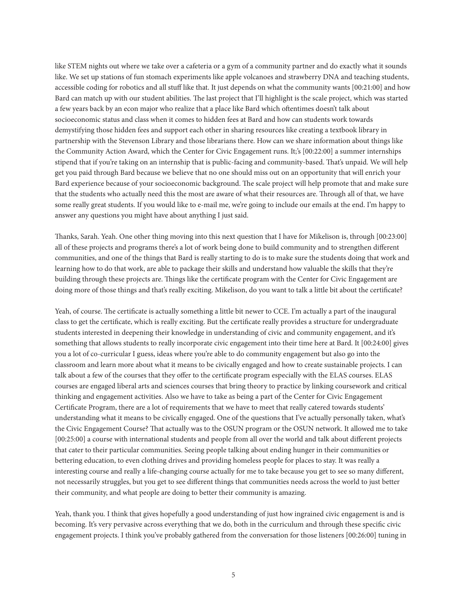like STEM nights out where we take over a cafeteria or a gym of a community partner and do exactly what it sounds like. We set up stations of fun stomach experiments like apple volcanoes and strawberry DNA and teaching students, accessible coding for robotics and all stuff like that. It just depends on what the community wants [00:21:00] and how Bard can match up with our student abilities. The last project that I'll highlight is the scale project, which was started a few years back by an econ major who realize that a place like Bard which oftentimes doesn't talk about socioeconomic status and class when it comes to hidden fees at Bard and how can students work towards demystifying those hidden fees and support each other in sharing resources like creating a textbook library in partnership with the Stevenson Library and those librarians there. How can we share information about things like the Community Action Award, which the Center for Civic Engagement runs. It;'s [00:22:00] a summer internships stipend that if you're taking on an internship that is public-facing and community-based. That's unpaid. We will help get you paid through Bard because we believe that no one should miss out on an opportunity that will enrich your Bard experience because of your socioeconomic background. The scale project will help promote that and make sure that the students who actually need this the most are aware of what their resources are. Through all of that, we have some really great students. If you would like to e-mail me, we're going to include our emails at the end. I'm happy to answer any questions you might have about anything I just said.

Thanks, Sarah. Yeah. One other thing moving into this next question that I have for Mikelison is, through [00:23:00] all of these projects and programs there's a lot of work being done to build community and to strengthen different communities, and one of the things that Bard is really starting to do is to make sure the students doing that work and learning how to do that work, are able to package their skills and understand how valuable the skills that they're building through these projects are. Things like the certificate program with the Center for Civic Engagement are doing more of those things and that's really exciting. Mikelison, do you want to talk a little bit about the certificate?

Yeah, of course. The certificate is actually something a little bit newer to CCE. I'm actually a part of the inaugural class to get the certificate, which is really exciting. But the certificate really provides a structure for undergraduate students interested in deepening their knowledge in understanding of civic and community engagement, and it's something that allows students to really incorporate civic engagement into their time here at Bard. It [00:24:00] gives you a lot of co-curricular I guess, ideas where you're able to do community engagement but also go into the classroom and learn more about what it means to be civically engaged and how to create sustainable projects. I can talk about a few of the courses that they offer to the certificate program especially with the ELAS courses. ELAS courses are engaged liberal arts and sciences courses that bring theory to practice by linking coursework and critical thinking and engagement activities. Also we have to take as being a part of the Center for Civic Engagement Certificate Program, there are a lot of requirements that we have to meet that really catered towards students' understanding what it means to be civically engaged. One of the questions that I've actually personally taken, what's the Civic Engagement Course? That actually was to the OSUN program or the OSUN network. It allowed me to take [00:25:00] a course with international students and people from all over the world and talk about different projects that cater to their particular communities. Seeing people talking about ending hunger in their communities or bettering education, to even clothing drives and providing homeless people for places to stay. It was really a interesting course and really a life-changing course actually for me to take because you get to see so many different, not necessarily struggles, but you get to see different things that communities needs across the world to just better their community, and what people are doing to better their community is amazing.

Yeah, thank you. I think that gives hopefully a good understanding of just how ingrained civic engagement is and is becoming. It's very pervasive across everything that we do, both in the curriculum and through these specific civic engagement projects. I think you've probably gathered from the conversation for those listeners [00:26:00] tuning in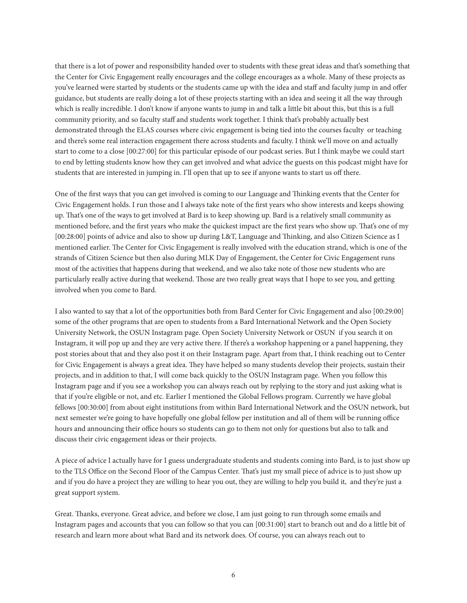that there is a lot of power and responsibility handed over to students with these great ideas and that's something that the Center for Civic Engagement really encourages and the college encourages as a whole. Many of these projects as you've learned were started by students or the students came up with the idea and staff and faculty jump in and offer guidance, but students are really doing a lot of these projects starting with an idea and seeing it all the way through which is really incredible. I don't know if anyone wants to jump in and talk a little bit about this, but this is a full community priority, and so faculty staff and students work together. I think that's probably actually best demonstrated through the ELAS courses where civic engagement is being tied into the courses faculty or teaching and there's some real interaction engagement there across students and faculty. I think we'll move on and actually start to come to a close [00:27:00] for this particular episode of our podcast series. But I think maybe we could start to end by letting students know how they can get involved and what advice the guests on this podcast might have for students that are interested in jumping in. I'll open that up to see if anyone wants to start us off there.

One of the first ways that you can get involved is coming to our Language and Thinking events that the Center for Civic Engagement holds. I run those and I always take note of the first years who show interests and keeps showing up. That's one of the ways to get involved at Bard is to keep showing up. Bard is a relatively small community as mentioned before, and the first years who make the quickest impact are the first years who show up. That's one of my [00:28:00] points of advice and also to show up during L&T, Language and Thinking, and also Citizen Science as I mentioned earlier. The Center for Civic Engagement is really involved with the education strand, which is one of the strands of Citizen Science but then also during MLK Day of Engagement, the Center for Civic Engagement runs most of the activities that happens during that weekend, and we also take note of those new students who are particularly really active during that weekend. Those are two really great ways that I hope to see you, and getting involved when you come to Bard.

I also wanted to say that a lot of the opportunities both from Bard Center for Civic Engagement and also [00:29:00] some of the other programs that are open to students from a Bard International Network and the Open Society University Network, the OSUN Instagram page. Open Society University Network or OSUN if you search it on Instagram, it will pop up and they are very active there. If there's a workshop happening or a panel happening, they post stories about that and they also post it on their Instagram page. Apart from that, I think reaching out to Center for Civic Engagement is always a great idea. They have helped so many students develop their projects, sustain their projects, and in addition to that, I will come back quickly to the OSUN Instagram page. When you follow this Instagram page and if you see a workshop you can always reach out by replying to the story and just asking what is that if you're eligible or not, and etc. Earlier I mentioned the Global Fellows program. Currently we have global fellows [00:30:00] from about eight institutions from within Bard International Network and the OSUN network, but next semester we're going to have hopefully one global fellow per institution and all of them will be running office hours and announcing their office hours so students can go to them not only for questions but also to talk and discuss their civic engagement ideas or their projects.

A piece of advice I actually have for I guess undergraduate students and students coming into Bard, is to just show up to the TLS Office on the Second Floor of the Campus Center. That's just my small piece of advice is to just show up and if you do have a project they are willing to hear you out, they are willing to help you build it, and they're just a great support system.

Great. Thanks, everyone. Great advice, and before we close, I am just going to run through some emails and Instagram pages and accounts that you can follow so that you can [00:31:00] start to branch out and do a little bit of research and learn more about what Bard and its network does. Of course, you can always reach out to